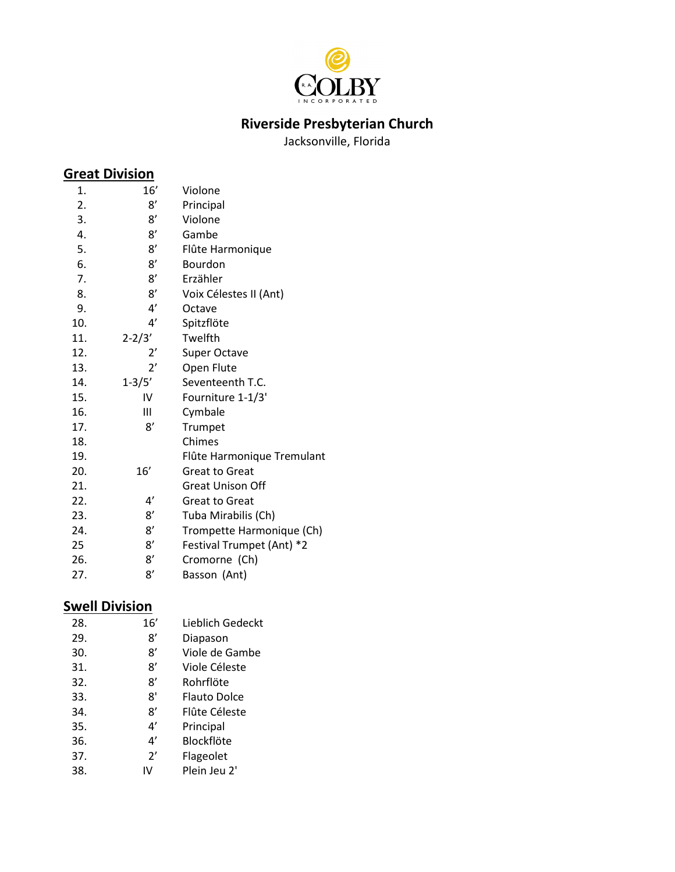

### **Riverside Presbyterian Church**

Jacksonville, Florida

### **Great Division**

| 16'          | Violone                    |
|--------------|----------------------------|
| 8'           | Principal                  |
| 8'           | Violone                    |
| 8'           | Gambe                      |
| 8'           | Flûte Harmonique           |
| 8'           | Bourdon                    |
| 8'           | Erzähler                   |
| 8'           | Voix Célestes II (Ant)     |
| 4'           | Octave                     |
| 4'           | Spitzflöte                 |
| $2 - 2/3'$   | Twelfth                    |
| $2^{\prime}$ | Super Octave               |
| $2^{\prime}$ | Open Flute                 |
| $1 - 3/5'$   | Seventeenth T.C.           |
| IV           | Fourniture 1-1/3'          |
| Ш            | Cymbale                    |
| 8'           | Trumpet                    |
|              | Chimes                     |
|              | Flûte Harmonique Tremulant |
| 16'          | <b>Great to Great</b>      |
|              | <b>Great Unison Off</b>    |
| 4'           | <b>Great to Great</b>      |
| 8'           | Tuba Mirabilis (Ch)        |
| 8'           | Trompette Harmonique (Ch)  |
| 8'           | Festival Trumpet (Ant) *2  |
| 8'           | Cromorne (Ch)              |
| 8'           | Basson (Ant)               |
|              |                            |

### **Swell Division**

| 28. | 16' | Lieblich Gedeckt |
|-----|-----|------------------|
| 29. | 8'  | Diapason         |
| 30. | 8'  | Viole de Gambe   |
| 31. | ጸ'  | Viole Céleste    |
| 32. | 8'  | Rohrflöte        |
| 33. | 8'  | Flauto Dolce     |
| 34. | ጸ'  | Flûte Céleste    |
| 35. | 4'  | Principal        |
| 36. | 4'  | Blockflöte       |
| 37. | 2'  | Flageolet        |
| 38. | W   | Plein Jeu 2'     |
|     |     |                  |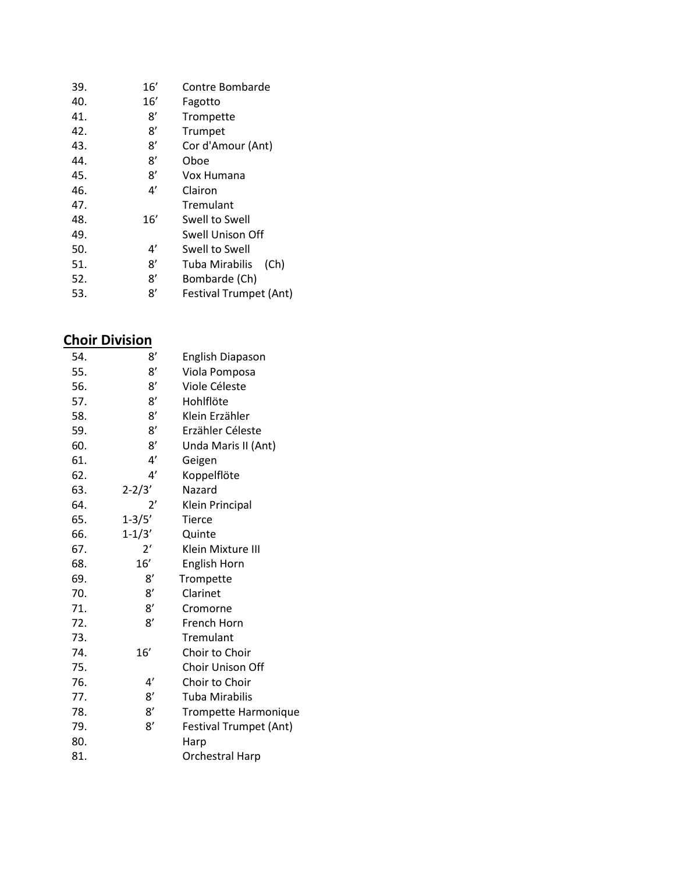| 39. | 16' | Contre Bombarde        |
|-----|-----|------------------------|
| 40. | 16' | Fagotto                |
| 41. | 8'  | Trompette              |
| 42. | 8'  | Trumpet                |
| 43. | 8'  | Cor d'Amour (Ant)      |
| 44. | 8'  | Oboe                   |
| 45. | 8'  | Vox Humana             |
| 46. | 4'  | Clairon                |
| 47. |     | Tremulant              |
| 48. | 16' | Swell to Swell         |
| 49. |     | Swell Unison Off       |
| 50. | 4'  | Swell to Swell         |
| 51. | 8'  | Tuba Mirabilis<br>(Ch) |
| 52. | 8'  | Bombarde (Ch)          |
| 53. | 8'  | Festival Trumpet (Ant) |

#### **Choir Division**

| 54. | 8'             | English Diapason            |
|-----|----------------|-----------------------------|
| 55. | 8'             | Viola Pomposa               |
| 56. | 8'             | Viole Céleste               |
| 57. | 8'             | Hohlflöte                   |
| 58. | 8'             | Klein Erzähler              |
| 59. | 8'             | Erzähler Céleste            |
| 60. | 8'             | Unda Maris II (Ant)         |
| 61. | 4'             | Geigen                      |
| 62. | 4'             | Koppelflöte                 |
| 63. | $2 - 2/3'$     | Nazard                      |
| 64. | $2^{\prime}$   | Klein Principal             |
| 65. | $1 - 3/5'$     | <b>Tierce</b>               |
| 66. | $1 - 1/3'$     | Quinte                      |
| 67. | 2 <sup>′</sup> | Klein Mixture III           |
| 68. | 16'            | English Horn                |
| 69. | 8′             | Trompette                   |
| 70. | 8'             | Clarinet                    |
| 71. | 8'             | Cromorne                    |
| 72. | 8'             | French Horn                 |
| 73. |                | Tremulant                   |
| 74. | 16'            | Choir to Choir              |
| 75. |                | Choir Unison Off            |
| 76. | 4'             | Choir to Choir              |
| 77. | 8'             | Tuba Mirabilis              |
| 78. | 8'             | <b>Trompette Harmonique</b> |
| 79. | 8'             | Festival Trumpet (Ant)      |
| 80. |                | Harp                        |
| 81. |                | <b>Orchestral Harp</b>      |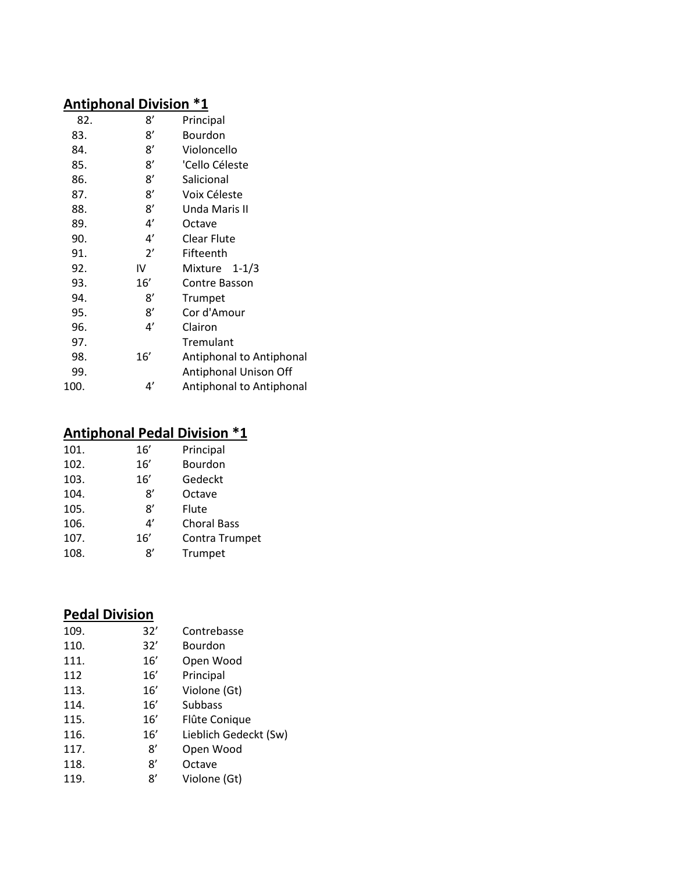### **Antiphonal Division \*1**

| 82.  | 8'  | Principal                |
|------|-----|--------------------------|
| 83.  | 8'  | Bourdon                  |
| 84.  | 8'  | Violoncello              |
| 85.  | 8'  | 'Cello Céleste           |
| 86.  | 8'  | Salicional               |
| 87.  | 8'  | Voix Céleste             |
| 88.  | 8'  | Unda Maris II            |
| 89.  | 4'  | Octave                   |
| 90.  | 4'  | Clear Flute              |
| 91.  | 2'  | Fifteenth                |
| 92.  | IV  | Mixture<br>$1 - 1/3$     |
| 93.  | 16' | <b>Contre Basson</b>     |
| 94.  | 8′  | Trumpet                  |
| 95.  | 8'  | Cor d'Amour              |
| 96.  | 4'  | Clairon                  |
| 97.  |     | Tremulant                |
| 98.  | 16′ | Antiphonal to Antiphonal |
| 99.  |     | Antiphonal Unison Off    |
| 100. | 4'  | Antiphonal to Antiphonal |

### **Antiphonal Pedal Division \*1**

| 101. | 16' | Principal          |
|------|-----|--------------------|
| 102. | 16' | Bourdon            |
| 103. | 16' | Gedeckt            |
| 104. | 8'  | Octave             |
| 105. | 8'  | Flute              |
| 106. | 4'  | <b>Choral Bass</b> |
| 107. | 16' | Contra Trumpet     |
| 108. | Ջ'  | Trumpet            |
|      |     |                    |

# **Pedal Division**

| 109. | 32' | Contrebasse           |
|------|-----|-----------------------|
| 110. | 32' | <b>Bourdon</b>        |
| 111. | 16' | Open Wood             |
| 112  | 16' | Principal             |
| 113. | 16' | Violone (Gt)          |
| 114. | 16' | Subbass               |
| 115. | 16' | Flûte Conique         |
| 116. | 16' | Lieblich Gedeckt (Sw) |
| 117. | 8'  | Open Wood             |
| 118. | 8'  | Octave                |
| 119. | 8'  | Violone (Gt)          |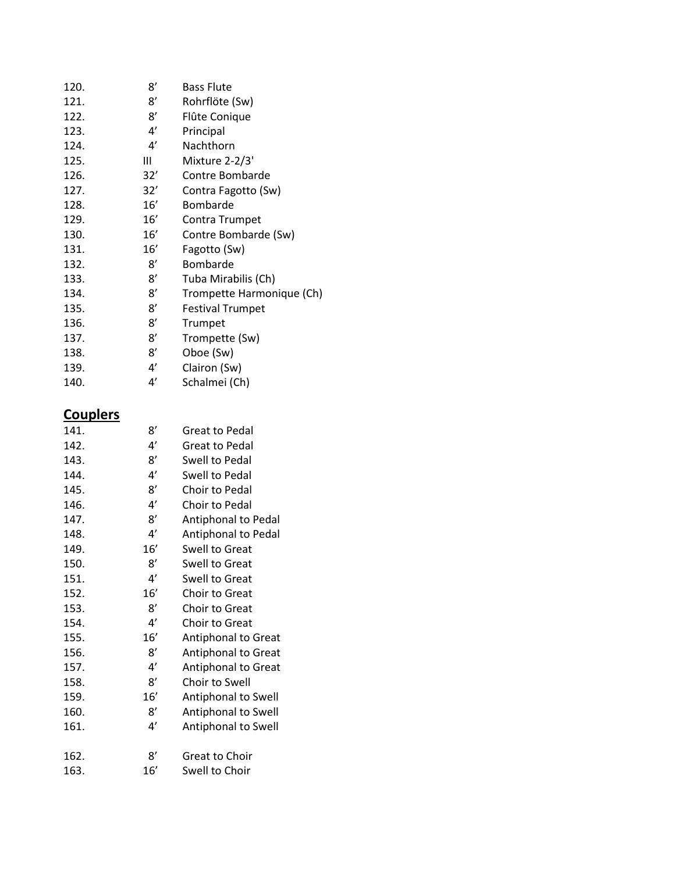| 120. | 8'  | <b>Bass Flute</b>         |
|------|-----|---------------------------|
| 121. | 8'  | Rohrflöte (Sw)            |
| 122. | 8'  | Flûte Conique             |
| 123. | 4'  | Principal                 |
| 124. | 4'  | Nachthorn                 |
| 125. | Ш   | Mixture 2-2/3'            |
| 126. | 32' | Contre Bombarde           |
| 127. | 32' | Contra Fagotto (Sw)       |
| 128. | 16' | Bombarde                  |
| 129. | 16' | Contra Trumpet            |
| 130. | 16' | Contre Bombarde (Sw)      |
| 131. | 16' | Fagotto (Sw)              |
| 132. | 8'  | Bombarde                  |
| 133. | 8'  | Tuba Mirabilis (Ch)       |
| 134. | 8'  | Trompette Harmonique (Ch) |
| 135. | 8'  | <b>Festival Trumpet</b>   |
| 136. | 8'  | Trumpet                   |
| 137. | 8'  | Trompette (Sw)            |
| 138. | 8'  | Oboe (Sw)                 |
| 139. | 4'  | Clairon (Sw)              |
| 140. | 4'  | Schalmei (Ch)             |
|      |     |                           |

## **Couplers**

| 141. | 8'  | Great to Pedal             |
|------|-----|----------------------------|
| 142. | 4'  | <b>Great to Pedal</b>      |
| 143. | 8'  | Swell to Pedal             |
| 144. | 4'  | Swell to Pedal             |
| 145. | 8'  | Choir to Pedal             |
| 146. | 4'  | Choir to Pedal             |
| 147. | 8'  | Antiphonal to Pedal        |
| 148. | 4'  | Antiphonal to Pedal        |
| 149. | 16' | Swell to Great             |
| 150. | 8'  | <b>Swell to Great</b>      |
| 151. | 4'  | Swell to Great             |
| 152. | 16' | Choir to Great             |
| 153. | 8'  | Choir to Great             |
| 154. | 4'  | Choir to Great             |
| 155. | 16' | <b>Antiphonal to Great</b> |
| 156. | 8'  | Antiphonal to Great        |
| 157. | 4'  | Antiphonal to Great        |
| 158. | 8'  | Choir to Swell             |
| 159. | 16' | Antiphonal to Swell        |
| 160. | 8'  | Antiphonal to Swell        |
| 161. | 4'  | Antiphonal to Swell        |
|      |     |                            |
| 162. | 8'  | <b>Great to Choir</b>      |
| 163. | 16' | Swell to Choir             |
|      |     |                            |